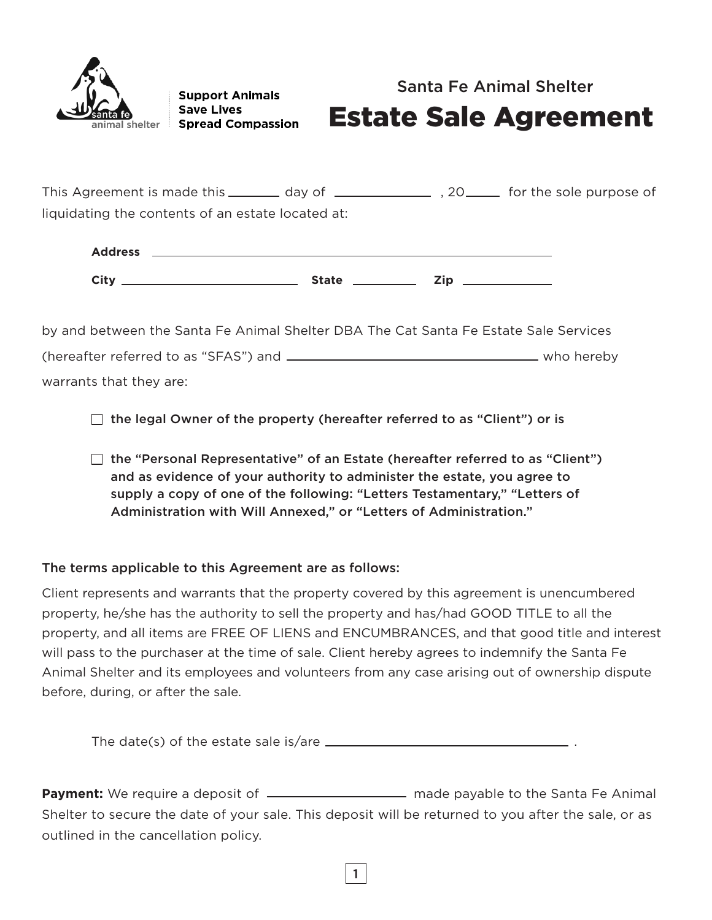

**Support Animals Save Lives Spread Compassion** 

## Santa Fe Animal Shelter

# Estate Sale Agreement

This Agreement is made this \_\_\_\_\_\_\_ day of \_\_\_\_\_\_\_\_\_\_\_\_\_\_\_\_\_\_\_\_\_\_ for the sole purpose of liquidating the contents of an estate located at:

| <b>Address</b> |              |     |
|----------------|--------------|-----|
| City           | <b>State</b> | Zip |

by and between the Santa Fe Animal Shelter DBA The Cat Santa Fe Estate Sale Services (hereafter referred to as "SFAS") and who hereby warrants that they are:

 $\Box$  the legal Owner of the property (hereafter referred to as "Client") or is

 $\Box$  the "Personal Representative" of an Estate (hereafter referred to as "Client") and as evidence of your authority to administer the estate, you agree to supply a copy of one of the following: "Letters Testamentary," "Letters of Administration with Will Annexed," or "Letters of Administration."

## The terms applicable to this Agreement are as follows:

Client represents and warrants that the property covered by this agreement is unencumbered property, he/she has the authority to sell the property and has/had GOOD TITLE to all the property, and all items are FREE OF LIENS and ENCUMBRANCES, and that good title and interest will pass to the purchaser at the time of sale. Client hereby agrees to indemnify the Santa Fe Animal Shelter and its employees and volunteers from any case arising out of ownership dispute before, during, or after the sale.

The date(s) of the estate sale is/are .

**Payment:** We require a deposit of  $\frac{1}{1}$  made payable to the Santa Fe Animal Shelter to secure the date of your sale. This deposit will be returned to you after the sale, or as outlined in the cancellation policy.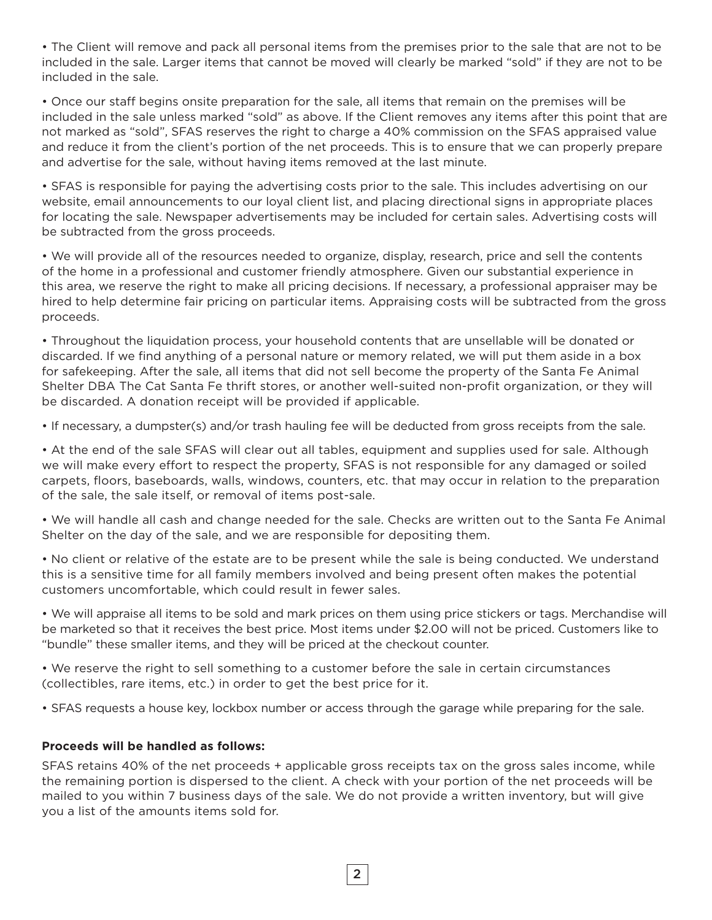• The Client will remove and pack all personal items from the premises prior to the sale that are not to be included in the sale. Larger items that cannot be moved will clearly be marked "sold" if they are not to be included in the sale.

• Once our staff begins onsite preparation for the sale, all items that remain on the premises will be included in the sale unless marked "sold" as above. If the Client removes any items after this point that are not marked as "sold", SFAS reserves the right to charge a 40% commission on the SFAS appraised value and reduce it from the client's portion of the net proceeds. This is to ensure that we can properly prepare and advertise for the sale, without having items removed at the last minute.

• SFAS is responsible for paying the advertising costs prior to the sale. This includes advertising on our website, email announcements to our loyal client list, and placing directional signs in appropriate places for locating the sale. Newspaper advertisements may be included for certain sales. Advertising costs will be subtracted from the gross proceeds.

• We will provide all of the resources needed to organize, display, research, price and sell the contents of the home in a professional and customer friendly atmosphere. Given our substantial experience in this area, we reserve the right to make all pricing decisions. If necessary, a professional appraiser may be hired to help determine fair pricing on particular items. Appraising costs will be subtracted from the gross proceeds.

• Throughout the liquidation process, your household contents that are unsellable will be donated or discarded. If we find anything of a personal nature or memory related, we will put them aside in a box for safekeeping. After the sale, all items that did not sell become the property of the Santa Fe Animal Shelter DBA The Cat Santa Fe thrift stores, or another well-suited non-profit organization, or they will be discarded. A donation receipt will be provided if applicable.

• If necessary, a dumpster(s) and/or trash hauling fee will be deducted from gross receipts from the sale.

• At the end of the sale SFAS will clear out all tables, equipment and supplies used for sale. Although we will make every effort to respect the property, SFAS is not responsible for any damaged or soiled carpets, floors, baseboards, walls, windows, counters, etc. that may occur in relation to the preparation of the sale, the sale itself, or removal of items post-sale.

• We will handle all cash and change needed for the sale. Checks are written out to the Santa Fe Animal Shelter on the day of the sale, and we are responsible for depositing them.

• No client or relative of the estate are to be present while the sale is being conducted. We understand this is a sensitive time for all family members involved and being present often makes the potential customers uncomfortable, which could result in fewer sales.

• We will appraise all items to be sold and mark prices on them using price stickers or tags. Merchandise will be marketed so that it receives the best price. Most items under \$2.00 will not be priced. Customers like to "bundle" these smaller items, and they will be priced at the checkout counter.

• We reserve the right to sell something to a customer before the sale in certain circumstances (collectibles, rare items, etc.) in order to get the best price for it.

• SFAS requests a house key, lockbox number or access through the garage while preparing for the sale.

#### **Proceeds will be handled as follows:**

SFAS retains 40% of the net proceeds + applicable gross receipts tax on the gross sales income, while the remaining portion is dispersed to the client. A check with your portion of the net proceeds will be mailed to you within 7 business days of the sale. We do not provide a written inventory, but will give you a list of the amounts items sold for.